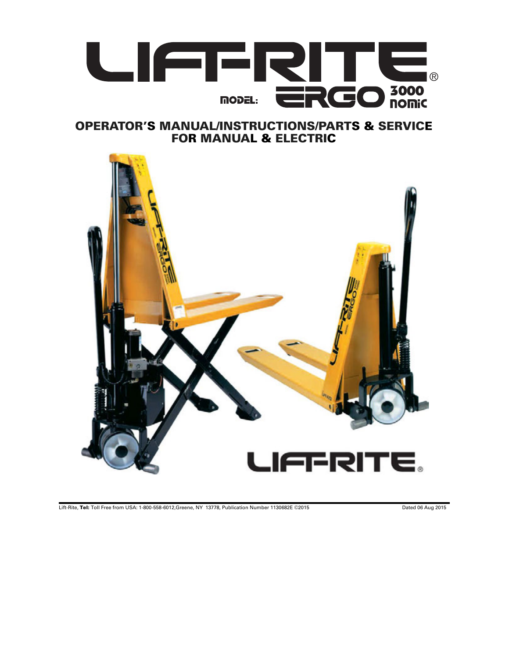

#### **OPERATOR'S MANUAL/INSTRUCTIONS/PARTS & SERVICE FOR MANUAL & ELECTRIC**

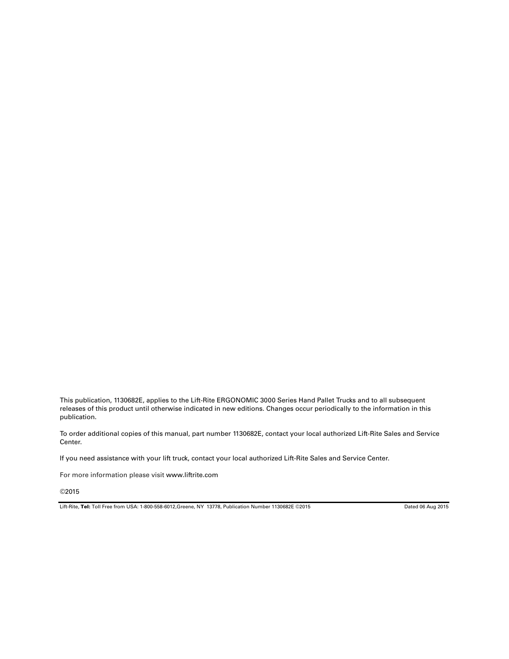This publication, 1130682E, applies to the Lift-Rite ERGONOMIC 3000 Series Hand Pallet Trucks and to all subsequent releases of this product until otherwise indicated in new editions. Changes occur periodically to the information in this publication.

To order additional copies of this manual, part number 1130682E, contact your local authorized Lift-Rite Sales and Service Center.

If you need assistance with your lift truck, contact your local authorized Lift-Rite Sales and Service Center.

For more information please visit www.liftrite.com

©2015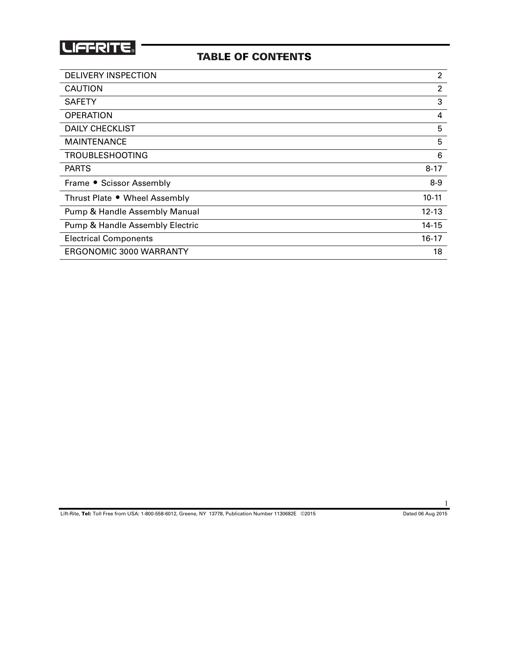

#### **TABLE OF CONTENTS**

| <b>DELIVERY INSPECTION</b>      | $\overline{2}$ |
|---------------------------------|----------------|
| <b>CAUTION</b>                  | $\overline{2}$ |
| <b>SAFETY</b>                   | 3              |
| <b>OPERATION</b>                | 4              |
| <b>DAILY CHECKLIST</b>          | 5              |
| <b>MAINTENANCE</b>              | 5              |
| <b>TROUBLESHOOTING</b>          | 6              |
| <b>PARTS</b>                    | $8 - 17$       |
| Frame • Scissor Assembly        | $8-9$          |
| Thrust Plate ● Wheel Assembly   | $10 - 11$      |
| Pump & Handle Assembly Manual   | $12 - 13$      |
| Pump & Handle Assembly Electric | $14 - 15$      |
| <b>Electrical Components</b>    | $16 - 17$      |
| <b>ERGONOMIC 3000 WARRANTY</b>  | 18             |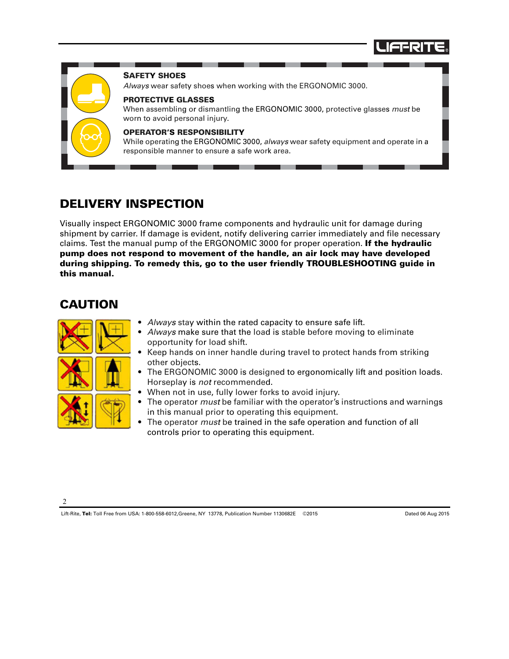



## **DELIVERY INSPECTION**

Visually inspect ERGONOMIC 3000 frame components and hydraulic unit for damage during shipment by carrier. If damage is evident, notify delivering carrier immediately and file necessary claims. Test the manual pump of the ERGONOMIC 3000 for proper operation. **If the hydraulic pump does not respond to movement of the handle, an air lock may have developed during shipping. To remedy this, go to the user friendly TROUBLESHOOTING guide in this manual.**

#### **CAUTION**



- *Always* stay within the rated capacity to ensure safe lift.
- *Always* make sure that the load is stable before moving to eliminate opportunity for load shift.
- Keep hands on inner handle during travel to protect hands from striking other objects.
- The ERGONOMIC 3000 is designed to ergonomically lift and position loads. Horseplay is *not* recommended.
- When not in use, fully lower forks to avoid injury.
- The operator *must* be familiar with the operator's instructions and warnings in this manual prior to operating this equipment.
- The operator *must* be trained in the safe operation and function of all controls prior to operating this equipment.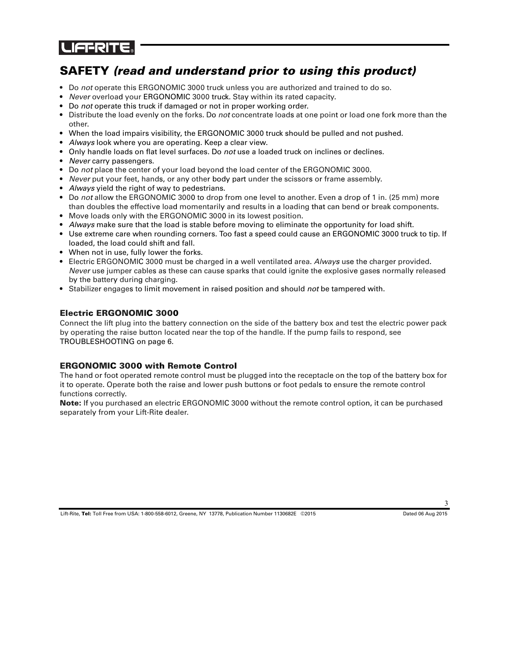## **SAFETY** *(read and understand prior to using this product)*

- Do *not* operate this ERGONOMIC 3000 truck unless you are authorized and trained to do so.
- *Never* overload your ERGONOMIC 3000 truck. Stay within its rated capacity.
- Do *not* operate this truck if damaged or not in proper working order.
- Distribute the load evenly on the forks. Do *not* concentrate loads at one point or load one fork more than the other.
- When the load impairs visibility, the ERGONOMIC 3000 truck should be pulled and not pushed.
- *Always* look where you are operating. Keep a clear view.
- Only handle loads on flat level surfaces. Do *not* use a loaded truck on inclines or declines.
- *Never* carry passengers.
- Do *not* place the center of your load beyond the load center of the ERGONOMIC 3000.
- *Never* put your feet, hands, or any other body part under the scissors or frame assembly.
- *Always* yield the right of way to pedestrians.
- Do *not* allow the ERGONOMIC 3000 to drop from one level to another. Even a drop of 1 in. (25 mm) more than doubles the effective load momentarily and results in a loading that can bend or break components.
- Move loads only with the ERGONOMIC 3000 in its lowest position.
- *Always* make sure that the load is stable before moving to eliminate the opportunity for load shift.
- Use extreme care when rounding corners. Too fast a speed could cause an ERGONOMIC 3000 truck to tip. If loaded, the load could shift and fall.
- When not in use, fully lower the forks.
- Electric ERGONOMIC 3000 must be charged in a well ventilated area. *Always* use the charger provided. *Never* use jumper cables as these can cause sparks that could ignite the explosive gases normally released by the battery during charging.
- Stabilizer engages to limit movement in raised position and should *not* be tampered with.

#### **Electric ERGONOMIC 3000**

Connect the lift plug into the battery connection on the side of the battery box and test the electric power pack by operating the raise button located near the top of the handle. If the pump fails to respond, see TROUBLESHOOTING on page 6.

#### **ERGONOMIC 3000 with Remote Control**

The hand or foot operated remote control must be plugged into the receptacle on the top of the battery box for it to operate. Operate both the raise and lower push buttons or foot pedals to ensure the remote control functions correctly.

**Note:** If you purchased an electric ERGONOMIC 3000 without the remote control option, it can be purchased separately from your Lift-Rite dealer.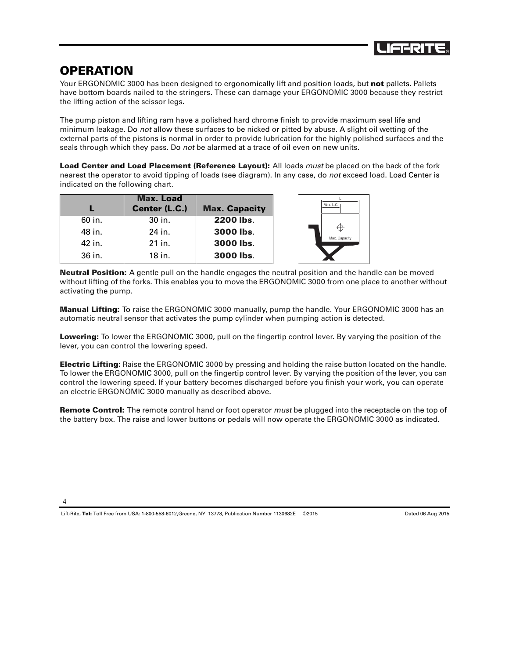## **OPERATION**

Your ERGONOMIC 3000 has been designed to ergonomically lift and position loads, but **not** pallets. Pallets have bottom boards nailed to the stringers. These can damage your ERGONOMIC 3000 because they restrict the lifting action of the scissor legs.

The pump piston and lifting ram have a polished hard chrome finish to provide maximum seal life and minimum leakage. Do *not* allow these surfaces to be nicked or pitted by abuse. A slight oil wetting of the external parts of the pistons is normal in order to provide lubrication for the highly polished surfaces and the seals through which they pass. Do *not* be alarmed at a trace of oil even on new units.

**Load Center and Load Placement (Reference Layout):** All loads *must* be placed on the back of the fork nearest the operator to avoid tipping of loads (see diagram). In any case, do *not* exceed load. Load Center is indicated on the following chart.

|        | <b>Max. Load</b><br>Center (L.C.) | <b>Max. Capacity</b> |
|--------|-----------------------------------|----------------------|
| 60 in. | 30 in.                            | <b>2200 lbs.</b>     |
| 48 in. | 24 in.                            | 3000 lbs.            |
| 42 in. | 21 in.                            | 3000 lbs.            |
| 36 in. | 18 in.                            | 3000 lbs.            |



**Neutral Position:** A gentle pull on the handle engages the neutral position and the handle can be moved without lifting of the forks. This enables you to move the ERGONOMIC 3000 from one place to another without activating the pump.

**Manual Lifting:** To raise the ERGONOMIC 3000 manually, pump the handle. Your ERGONOMIC 3000 has an automatic neutral sensor that activates the pump cylinder when pumping action is detected.

**Lowering:** To lower the ERGONOMIC 3000, pull on the fingertip control lever. By varying the position of the lever, you can control the lowering speed.

**Electric Lifting:** Raise the ERGONOMIC 3000 by pressing and holding the raise button located on the handle. To lower the ERGONOMIC 3000, pull on the fingertip control lever. By varying the position of the lever, you can control the lowering speed. If your battery becomes discharged before you finish your work, you can operate an electric ERGONOMIC 3000 manually as described above.

**Remote Control:** The remote control hand or foot operator *must* be plugged into the receptacle on the top of the battery box. The raise and lower buttons or pedals will now operate the ERGONOMIC 3000 as indicated.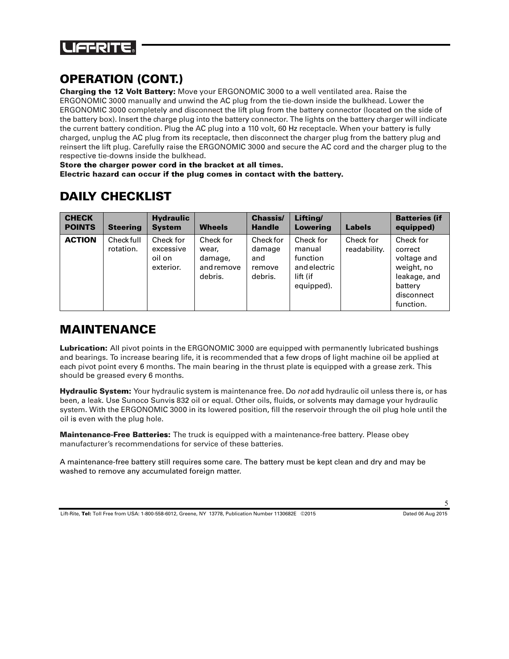

## **OPERATION (CONT.)**

**Charging the 12 Volt Battery:** Move your ERGONOMIC 3000 to a well ventilated area. Raise the ERGONOMIC 3000 manually and unwind the AC plug from the tie-down inside the bulkhead. Lower the ERGONOMIC 3000 completely and disconnect the lift plug from the battery connector (located on the side of the battery box). Insert the charge plug into the battery connector. The lights on the battery charger will indicate the current battery condition. Plug the AC plug into a 110 volt, 60 Hz receptacle. When your battery is fully charged, unplug the AC plug from its receptacle, then disconnect the charger plug from the battery plug and reinsert the lift plug. Carefully raise the ERGONOMIC 3000 and secure the AC cord and the charger plug to the respective tie-downs inside the bulkhead.

**Store the charger power cord in the bracket at all times. Electric hazard can occur if the plug comes in contact with the battery.**

| <b>CHECK</b><br><b>POINTS</b> | <b>Steering</b>         | <b>Hydraulic</b><br><b>System</b>             | <b>Wheels</b>                                          | <b>Chassis/</b><br><b>Handle</b>                | Lifting/<br><b>Lowering</b>                                               | <b>Labels</b>             | <b>Batteries (if</b><br>equipped)                                                                       |
|-------------------------------|-------------------------|-----------------------------------------------|--------------------------------------------------------|-------------------------------------------------|---------------------------------------------------------------------------|---------------------------|---------------------------------------------------------------------------------------------------------|
| <b>ACTION</b>                 | Check full<br>rotation. | Check for<br>excessive<br>oil on<br>exterior. | Check for<br>wear,<br>damage,<br>and remove<br>debris. | Check for<br>damage<br>and<br>remove<br>debris. | Check for<br>manual<br>function<br>and electric<br>lift (if<br>equipped). | Check for<br>readability. | Check for<br>correct<br>voltage and<br>weight, no<br>leakage, and<br>battery<br>disconnect<br>function. |

#### **DAILY CHECKLIST**

#### **MAINTENANCE**

**Lubrication:** All pivot points in the ERGONOMIC 3000 are equipped with permanently lubricated bushings and bearings. To increase bearing life, it is recommended that a few drops of light machine oil be applied at each pivot point every 6 months. The main bearing in the thrust plate is equipped with a grease zerk. This should be greased every 6 months.

**Hydraulic System:** Your hydraulic system is maintenance free. Do *not* add hydraulic oil unless there is, or has been, a leak. Use Sunoco Sunvis 832 oil or equal. Other oils, fluids, or solvents may damage your hydraulic system. With the ERGONOMIC 3000 in its lowered position, fill the reservoir through the oil plug hole until the oil is even with the plug hole.

**Maintenance-Free Batteries:** The truck is equipped with a maintenance-free battery. Please obey manufacturer's recommendations for service of these batteries.

A maintenance-free battery still requires some care. The battery must be kept clean and dry and may be washed to remove any accumulated foreign matter.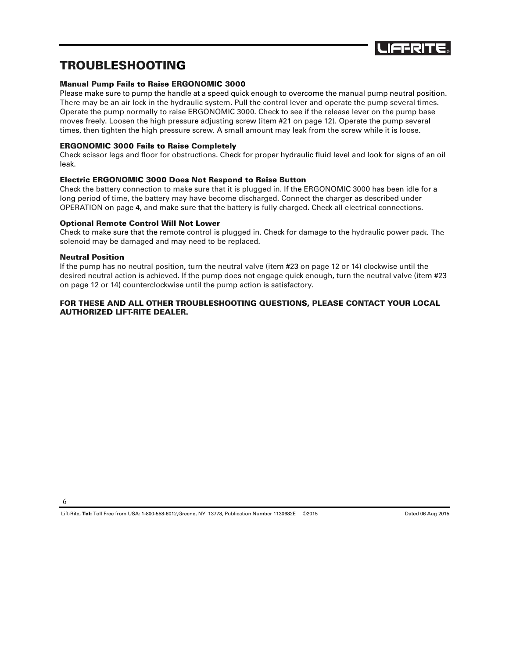

## **TROUBLESHOOTING**

#### **Manual Pump Fails to Raise ERGONOMIC 3000**

Please make sure to pump the handle at a speed quick enough to overcome the manual pump neutral position. There may be an air lock in the hydraulic system. Pull the control lever and operate the pump several times. Operate the pump normally to raise ERGONOMIC 3000. Check to see if the release lever on the pump base moves freely. Loosen the high pressure adjusting screw (item #21 on page 12). Operate the pump several times, then tighten the high pressure screw. A small amount may leak from the screw while it is loose.

#### **ERGONOMIC 3000 Fails to Raise Completely**

Check scissor legs and floor for obstructions. Check for proper hydraulic fluid level and look for signs of an oil leak.

#### **Electric ERGONOMIC 3000 Does Not Respond to Raise Button**

Check the battery connection to make sure that it is plugged in. If the ERGONOMIC 3000 has been idle for a long period of time, the battery may have become discharged. Connect the charger as described under OPERATION on page 4, and make sure that the battery is fully charged. Check all electrical connections.

#### **Optional Remote Control Will Not Lower**

Check to make sure that the remote control is plugged in. Check for damage to the hydraulic power pack. The solenoid may be damaged and may need to be replaced.

#### **Neutral Position**

6

If the pump has no neutral position, turn the neutral valve (item #23 on page 12 or 14) clockwise until the desired neutral action is achieved. If the pump does not engage quick enough, turn the neutral valve (item #23 on page 12 or 14) counterclockwise until the pump action is satisfactory.

#### **FOR THESE AND ALL OTHER TROUBLESHOOTING QUESTIONS, PLEASE CONTACT YOUR LOCAL AUTHORIZED LIFT-RITE DEALER.**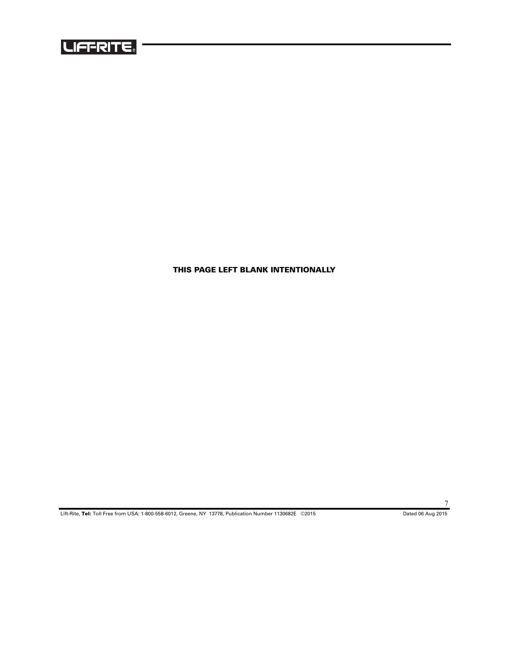

**THIS PAGE LEFT BLANK INTENTIONALLY**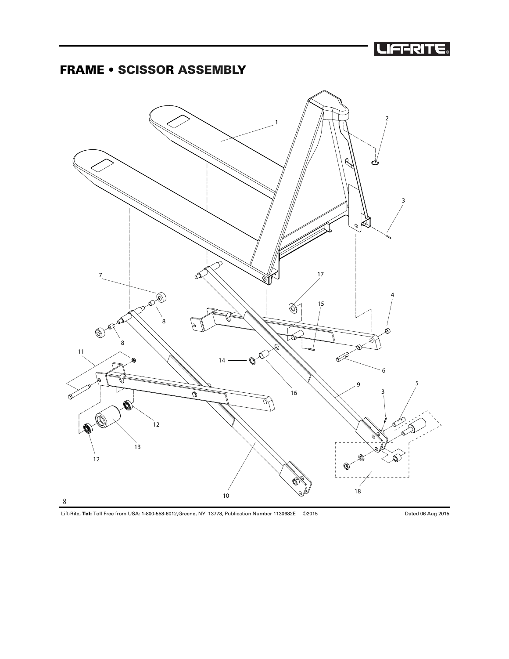#### **FRAME • SCISSOR ASSEMBLY**

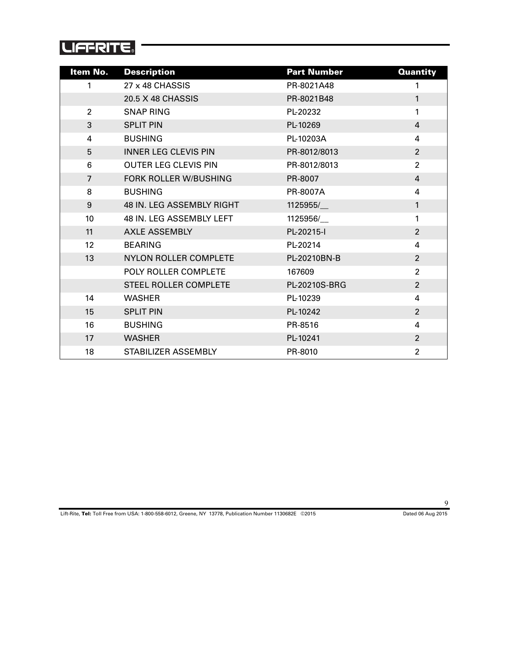| Item No.        | <b>Description</b>           | <b>Part Number</b>   | <b>Quantity</b> |
|-----------------|------------------------------|----------------------|-----------------|
| 1               | 27 x 48 CHASSIS              | PR-8021A48           | 1               |
|                 | 20.5 X 48 CHASSIS            | PR-8021B48           | 1               |
| $\overline{2}$  | <b>SNAP RING</b>             | PL-20232             | 1               |
| 3               | <b>SPLIT PIN</b>             | PL-10269             | $\overline{4}$  |
| 4               | <b>BUSHING</b>               | PL-10203A            | 4               |
| 5               | <b>INNER LEG CLEVIS PIN</b>  | PR-8012/8013         | $\overline{2}$  |
| 6               | <b>OUTER LEG CLEVIS PIN</b>  | PR-8012/8013         | $\overline{2}$  |
| $\overline{7}$  | <b>FORK ROLLER W/BUSHING</b> | PR-8007              | 4               |
| 8               | <b>BUSHING</b>               | PR-8007A             | 4               |
| 9               | 48 IN. LEG ASSEMBLY RIGHT    | 1125955/             | 1               |
| 10              | 48 IN. LEG ASSEMBLY LEFT     | 1125956/             | 1               |
| 11              | <b>AXLE ASSEMBLY</b>         | PL-20215-I           | $\overline{2}$  |
| 12 <sup>2</sup> | <b>BEARING</b>               | PL-20214             | 4               |
| 13              | <b>NYLON ROLLER COMPLETE</b> | PL-20210BN-B         | $\overline{2}$  |
|                 | POLY ROLLER COMPLETE         | 167609               | $\overline{2}$  |
|                 | STEEL ROLLER COMPLETE        | <b>PL-20210S-BRG</b> | $\overline{2}$  |
| 14              | <b>WASHER</b>                | PL-10239             | 4               |
| 15              | <b>SPLIT PIN</b>             | PL-10242             | $\overline{2}$  |
| 16              | <b>BUSHING</b>               | PR-8516              | 4               |
| 17              | <b>WASHER</b>                | PL-10241             | $\overline{2}$  |
| 18              | STABILIZER ASSEMBLY          | PR-8010              | $\overline{2}$  |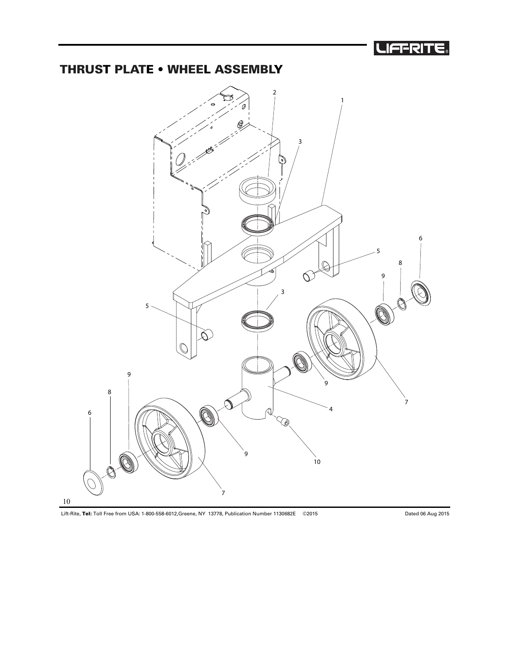#### <u>IFFRI</u>

#### **THRUST PLATE • WHEEL ASSEMBLY**

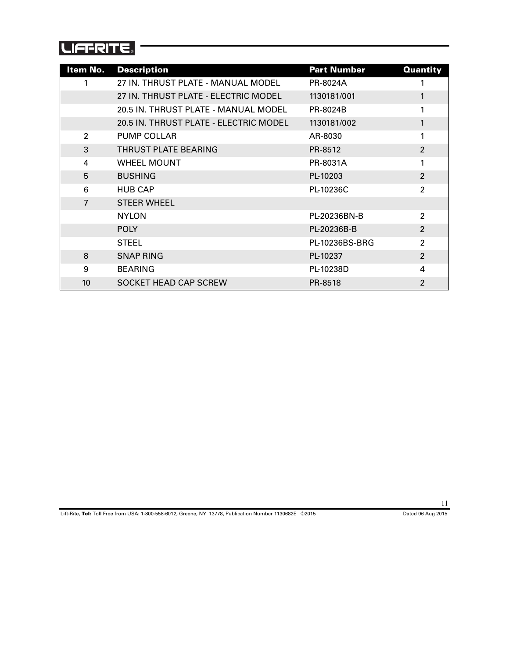#### **JFFRITE** L

| Item No.       | <b>Description</b>                     | <b>Part Number</b> | <b>Quantity</b> |
|----------------|----------------------------------------|--------------------|-----------------|
| 1              | 27 IN. THRUST PLATE - MANUAL MODEL     | PR-8024A           | 1               |
|                | 27 IN. THRUST PLATE - ELECTRIC MODEL   | 1130181/001        | 1               |
|                | 20.5 IN. THRUST PLATE - MANUAL MODEL   | PR-8024B           | 1               |
|                | 20.5 IN. THRUST PLATE - ELECTRIC MODEL | 1130181/002        | 1               |
| $\mathcal{P}$  | <b>PUMP COLLAR</b>                     | AR-8030            | 1               |
| 3              | THRUST PLATE BEARING                   | PR-8512            | $\overline{2}$  |
| 4              | <b>WHEEL MOUNT</b>                     | PR-8031A           | 1               |
| 5              | <b>BUSHING</b>                         | PL-10203           | $\overline{2}$  |
| 6              | <b>HUB CAP</b>                         | PL-10236C          | $\overline{2}$  |
| $\overline{7}$ | <b>STEER WHEEL</b>                     |                    |                 |
|                | <b>NYLON</b>                           | PL-20236BN-B       | $\mathfrak{p}$  |
|                | <b>POLY</b>                            | PL-20236B-B        | $\mathfrak{p}$  |
|                | <b>STEEL</b>                           | PL-10236BS-BRG     | $\overline{2}$  |
| 8              | <b>SNAP RING</b>                       | PL-10237           | $\overline{2}$  |
| 9              | <b>BEARING</b>                         | PL-10238D          | 4               |
| 10             | SOCKET HEAD CAP SCREW                  | PR-8518            | $\overline{2}$  |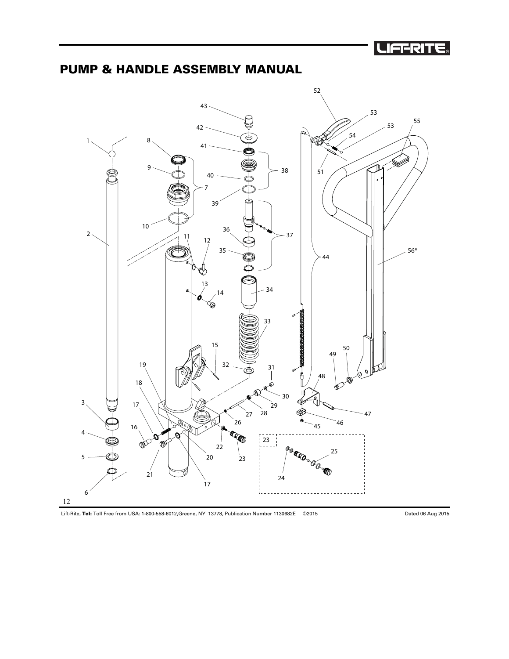#### <u>IFFRIT</u>

#### **PUMP & HANDLE ASSEMBLY MANUAL**

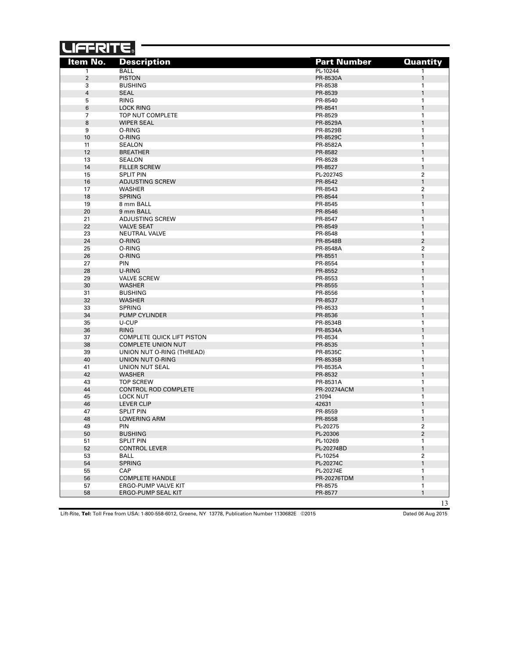| <b>CILI-KI I E</b> ® |                                                 |                         |                              |
|----------------------|-------------------------------------------------|-------------------------|------------------------------|
| Item No.             | <b>Description</b>                              | <b>Part Number</b>      | <b>Quantity</b>              |
| $\mathbf{1}$         | <b>BALL</b>                                     | PL-10244                | 1                            |
| $\overline{2}$       | <b>PISTON</b>                                   | PR-8530A                | 1                            |
| 3                    | <b>BUSHING</b>                                  | PR-8538                 | 1                            |
| $\overline{4}$       | <b>SEAL</b>                                     | PR-8539                 | $\mathbf{1}$                 |
| 5                    | <b>RING</b>                                     | PR-8540                 | 1                            |
| $6\phantom{1}$       | <b>LOCK RING</b>                                | PR-8541                 | 1                            |
| $\overline{7}$       | TOP NUT COMPLETE                                | PR-8529                 | 1                            |
| 8                    | <b>WIPER SEAL</b>                               | PR-8529A                | 1                            |
| 9                    | O-RING                                          | PR-8529B                | $\mathbf{1}$                 |
| 10                   | O-RING                                          | PR-8529C                | 1                            |
| 11                   | SEALON                                          | PR-8582A                | $\mathbf{1}$                 |
| 12                   | <b>BREATHER</b>                                 | PR-8582                 | $\mathbf{1}$                 |
| 13                   | SEALON                                          | PR-8528                 | $\mathbf{1}$                 |
| 14                   | <b>FILLER SCREW</b>                             | PR-8527                 | $\mathbf{1}$                 |
| 15                   | <b>SPLIT PIN</b>                                | PL-20274S               | $\overline{2}$               |
| 16                   | <b>ADJUSTING SCREW</b>                          | PR-8542                 | $\mathbf{1}$                 |
| 17<br>18             | WASHER                                          | PR-8543                 | $\overline{2}$               |
| 19                   | <b>SPRING</b><br>8 mm BALL                      | PR-8544<br>PR-8545      | $\mathbf{1}$<br>1            |
| 20                   | 9 mm BALL                                       | PR-8546                 | $\mathbf{1}$                 |
| 21                   | ADJUSTING SCREW                                 | PR-8547                 | 1                            |
| 22                   | <b>VALVE SEAT</b>                               | PR-8549                 | $\mathbf{1}$                 |
| 23                   | <b>NEUTRAL VALVE</b>                            | PR-8548                 | 1                            |
| 24                   | O-RING                                          | PR-8548B                | $\overline{2}$               |
| 25                   | O-RING                                          | PR-8548A                | 2                            |
| 26                   | O-RING                                          | PR-8551                 | $\mathbf{1}$                 |
| 27                   | <b>PIN</b>                                      | PR-8554                 | 1                            |
| 28                   | <b>U-RING</b>                                   | PR-8552                 | $\mathbf{1}$                 |
| 29                   | <b>VALVE SCREW</b>                              | PR-8553                 | 1                            |
| 30                   | <b>WASHER</b>                                   | PR-8555                 | $\mathbf{1}$                 |
| 31                   | <b>BUSHING</b>                                  | PR-8556                 | 1                            |
| 32                   | <b>WASHER</b>                                   | PR-8537                 | $\mathbf{1}$                 |
| 33                   | <b>SPRING</b>                                   | PR-8533                 | 1                            |
| 34                   | <b>PUMP CYLINDER</b>                            | PR-8536                 | $\mathbf{1}$                 |
| 35                   | U-CUP                                           | PR-8534B                | 1                            |
| 36                   | <b>RING</b>                                     | PR-8534A                | $\mathbf{1}$                 |
| 37                   | <b>COMPLETE QUICK LIFT PISTON</b>               | PR-8534                 | 1                            |
| 38                   | <b>COMPLETE UNION NUT</b>                       | PR-8535                 | $\mathbf{1}$                 |
| 39                   | UNION NUT O-RING (THREAD)                       | PR-8535C                | 1                            |
| 40                   | UNION NUT O-RING                                | PR-8535B                | $\mathbf{1}$                 |
| 41                   | UNION NUT SEAL                                  | PR-8535A                | 1                            |
| 42                   | <b>WASHER</b>                                   | PR-8532                 | $\mathbf{1}$                 |
| 43<br>44             | <b>TOP SCREW</b><br><b>CONTROL ROD COMPLETE</b> | PR-8531A<br>PR-20274ACM | 1                            |
| 45                   |                                                 |                         | $\mathbf{1}$<br>$\mathbf{1}$ |
| 46                   | <b>LOCK NUT</b><br><b>LEVER CLIP</b>            | 21094<br>42631          | $\mathbf{1}$                 |
| 47                   | <b>SPLIT PIN</b>                                | PR-8559                 | 1                            |
| 48                   | LOWERING ARM                                    | PR-8558                 | $\mathbf{1}$                 |
| 49                   | PIN                                             | PL-20275                | $\overline{\mathbf{c}}$      |
| 50                   | <b>BUSHING</b>                                  | PL-20306                | $\overline{2}$               |
| 51                   | <b>SPLIT PIN</b>                                | PL-10269                | $\mathbf{1}$                 |
| 52                   | <b>CONTROL LEVER</b>                            | PL-20274BD              | $\mathbf{1}$                 |
| 53                   | BALL                                            | PL-10254                | $\overline{2}$               |
| 54                   | <b>SPRING</b>                                   | PL-20274C               | 1                            |
| 55                   | CAP                                             | PL-20274E               | 1                            |
| 56                   | <b>COMPLETE HANDLE</b>                          | PR-20276TDM             | $\mathbf{1}$                 |
| 57                   | ERGO-PUMP VALVE KIT                             | PR-8575                 | $\mathbf{1}$                 |
| 58                   | ERGO-PUMP SEAL KIT                              | PR-8577                 | $\mathbf{1}$                 |

Ŧ  $\overline{\phantom{a}}$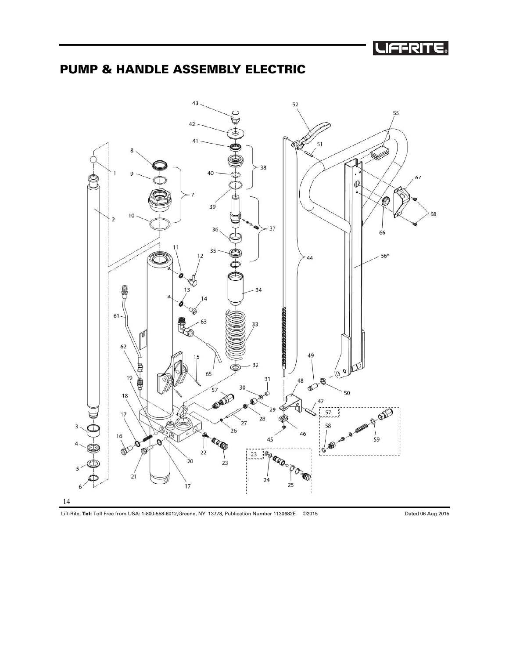#### **PUMP & HANDLE ASSEMBLY ELECTRIC**

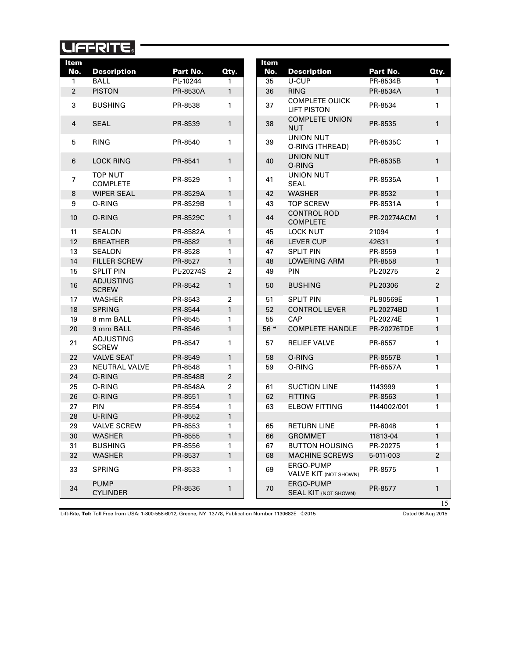| Item           |                                   |           |                | Item  |     |                                             |
|----------------|-----------------------------------|-----------|----------------|-------|-----|---------------------------------------------|
| No.            | <b>Description</b>                | Part No.  | Oty.           | No.   |     | <b>Description</b>                          |
| 1              | <b>BALL</b>                       | PL-10244  | 1              | 35    |     | U-CUP                                       |
| $\overline{2}$ | <b>PISTON</b>                     | PR-8530A  | $\mathbf{1}$   | 36    |     | <b>RING</b>                                 |
| 3              | <b>BUSHING</b>                    | PR-8538   | 1              | 37    |     | <b>COMPLETE QUICK</b><br><b>LIFT PISTON</b> |
| 4              | <b>SEAL</b>                       | PR-8539   | 1              | 38    |     | <b>COMPLETE UNION</b><br><b>NUT</b>         |
| 5              | RING                              | PR-8540   | 1              | 39    |     | UNION NUT<br>O-RING (THREAD)                |
| 6              | LOCK RING                         | PR-8541   | 1              | 40    |     | <b>UNION NUT</b><br>O-RING                  |
| 7              | <b>TOP NUT</b><br><b>COMPLETE</b> | PR-8529   | 1              | 41    |     | UNION NUT<br><b>SEAL</b>                    |
| 8              | <b>WIPER SEAL</b>                 | PR-8529A  | 1              | 42    |     | <b>WASHER</b>                               |
| 9              | O-RING                            | PR-8529B  | 1              | 43    |     | <b>TOP SCREW</b>                            |
| 10             | O-RING                            | PR-8529C  | 1              | 44    |     | <b>CONTROL ROD</b><br><b>COMPLETE</b>       |
| 11             | <b>SEALON</b>                     | PR-8582A  | 1              | 45    |     | <b>LOCK NUT</b>                             |
| 12             | <b>BREATHER</b>                   | PR-8582   | 1              | 46    |     | <b>LEVER CUP</b>                            |
| 13             | SEALON                            | PR-8528   | 1              | 47    |     | <b>SPLIT PIN</b>                            |
| 14             | <b>FILLER SCREW</b>               | PR-8527   | 1              | 48    |     | <b>LOWERING ARM</b>                         |
| 15             | <b>SPLIT PIN</b>                  | PL-20274S | 2              | 49    | PIN |                                             |
| 16             | <b>ADJUSTING</b><br><b>SCREW</b>  | PR-8542   | 1              | 50    |     | <b>BUSHING</b>                              |
| 17             | WASHER                            | PR-8543   | 2              | 51    |     | SPLIT PIN                                   |
| 18             | <b>SPRING</b>                     | PR-8544   | $\mathbf{1}$   | 52    |     | <b>CONTROL LEVER</b>                        |
| 19             | 8 mm BALL                         | PR-8545   | 1              | 55    |     | CAP                                         |
| 20             | 9 mm BALL                         | PR-8546   | 1              | $56*$ |     | <b>COMPLETE HANDLI</b>                      |
| 21             | ADJUSTING<br><b>SCREW</b>         | PR-8547   | 1              | 57    |     | <b>RELIEF VALVE</b>                         |
| 22             | <b>VALVE SEAT</b>                 | PR-8549   | 1              | 58    |     | O-RING                                      |
| 23             | <b>NEUTRAL VALVE</b>              | PR-8548   | 1              | 59    |     | O-RING                                      |
| 24             | O-RING                            | PR-8548B  | $\overline{2}$ |       |     |                                             |
| 25             | O-RING                            | PR-8548A  | 2              | 61    |     | <b>SUCTION LINE</b>                         |
| 26             | O-RING                            | PR-8551   | $\mathbf{1}$   | 62    |     | <b>FITTING</b>                              |
| 27             | PIN                               | PR-8554   | 1              | 63    |     | <b>ELBOW FITTING</b>                        |
| 28             | U-RING                            | PR-8552   | 1              |       |     |                                             |
| 29             | <b>VALVE SCREW</b>                | PR-8553   | 1              | 65    |     | <b>RETURN LINE</b>                          |
| 30             | <b>WASHER</b>                     | PR-8555   | $\mathbf{1}$   | 66    |     | GROMMET                                     |
| 31             | <b>BUSHING</b>                    | PR-8556   | 1              | 67    |     | <b>BUTTON HOUSING</b>                       |
| 32             | <b>WASHER</b>                     | PR-8537   | $\mathbf{1}$   | 68    |     | <b>MACHINE SCREWS</b>                       |
| 33             | <b>SPRING</b>                     | PR-8533   | 1              | 69    |     | ERGO-PUMP<br><b>VALVE KIT (NOT SHOW</b>     |
| 34             | <b>PUMP</b><br><b>CYLINDER</b>    | PR-8536   | 1              | 70    |     | ERGO-PUMP<br><b>SEAL KIT (NOT SHOWN</b>     |

| :em |                                  |           |                | ltem  |                                             |                 |  |
|-----|----------------------------------|-----------|----------------|-------|---------------------------------------------|-----------------|--|
| No. | <b>Description</b>               | Part No.  | Oty.           | No.   | <b>Description</b>                          | Part No.        |  |
| 1   | <b>BALL</b>                      | PL-10244  | 1              | 35    | U-CUP                                       | PR-8534B        |  |
| 2   | <b>PISTON</b>                    | PR-8530A  | $\mathbf{1}$   | 36    | <b>RING</b>                                 | PR-8534A        |  |
| 3   | <b>BUSHING</b>                   | PR-8538   | 1              | 37    | <b>COMPLETE QUICK</b><br><b>LIFT PISTON</b> | PR-8534         |  |
| 4   | <b>SEAL</b>                      | PR-8539   | $\mathbf{1}$   | 38    | <b>COMPLETE UNION</b><br><b>NUT</b>         | PR-8535         |  |
| 5   | RING                             | PR-8540   | 1              | 39    | <b>UNION NUT</b><br>O-RING (THREAD)         | PR-8535C        |  |
| 6   | LOCK RING                        | PR-8541   | 1              | 40    | UNION NUT<br>O-RING                         | PR-8535B        |  |
| 7   | TOP NUT<br><b>COMPLETE</b>       | PR-8529   | 1              | 41    | UNION NUT<br><b>SEAL</b>                    | PR-8535A        |  |
| 8   | <b>WIPER SEAL</b>                | PR-8529A  | 1              | 42    | <b>WASHER</b>                               | PR-8532         |  |
|     | O-RING                           | PR-8529B  | 1              | 43    | <b>TOP SCREW</b>                            | PR-8531A        |  |
|     | O-RING                           | PR-8529C  | 1              | 44    | <b>CONTROL ROD</b><br><b>COMPLETE</b>       | PR-20274ACM     |  |
| 11  | <b>SEALON</b>                    | PR-8582A  | 1              | 45    | <b>LOCK NUT</b>                             | 21094           |  |
| 12  | <b>BREATHER</b>                  | PR-8582   | 1              | 46    | <b>LEVER CUP</b>                            | 42631           |  |
| 13  | <b>SEALON</b>                    | PR-8528   | 1              | 47    | <b>SPLIT PIN</b>                            | PR-8559         |  |
| 14  | <b>FILLER SCREW</b>              | PR-8527   | 1              | 48    | <b>LOWERING ARM</b>                         | PR-8558         |  |
| 15  | <b>SPLIT PIN</b>                 | PL-20274S | $\overline{2}$ | 49    | <b>PIN</b>                                  | PL-20275        |  |
|     | <b>ADJUSTING</b><br><b>SCREW</b> | PR-8542   | $\mathbf{1}$   | 50    | <b>BUSHING</b>                              | PL-20306        |  |
| 17  | <b>WASHER</b>                    | PR-8543   | $\overline{c}$ | 51    | <b>SPLIT PIN</b>                            | PL-90569E       |  |
| 18  | <b>SPRING</b>                    | PR-8544   | 1              | 52    | <b>CONTROL LEVER</b>                        | PL-20274BD      |  |
| 19  | 8 mm BALL                        | PR-8545   | 1              | 55    | CAP                                         | PL-20274E       |  |
| 20  | 9 mm BALL                        | PR-8546   | $\mathbf{1}$   | $56*$ | <b>COMPLETE HANDLE</b>                      | PR-20276TDE     |  |
|     | <b>ADJUSTING</b><br><b>SCREW</b> | PR-8547   | 1              | 57    | <b>RELIEF VALVE</b>                         | PR-8557         |  |
| 22  | <b>VALVE SEAT</b>                | PR-8549   | $\mathbf{1}$   | 58    | O-RING                                      | <b>PR-8557B</b> |  |
| 23  | <b>NEUTRAL VALVE</b>             | PR-8548   | 1              | 59    | O-RING                                      | <b>PR-8557A</b> |  |
| 24  | O-RING                           | PR-8548B  | $\overline{2}$ |       |                                             |                 |  |
|     | O-RING                           | PR-8548A  | $\overline{c}$ | 61    | <b>SUCTION LINE</b>                         | 1143999         |  |
| 26  | O-RING                           | PR-8551   | $\mathbf{1}$   | 62    | <b>FITTING</b>                              | PR-8563         |  |
| 27  | PIN                              | PR-8554   | 1              | 63    | <b>ELBOW FITTING</b>                        | 1144002/001     |  |
| 28  | U-RING                           | PR-8552   | 1              |       |                                             |                 |  |
| 29  | <b>VALVE SCREW</b>               | PR-8553   | 1              | 65    | <b>RETURN LINE</b>                          | PR-8048         |  |
| 30  | <b>WASHER</b>                    | PR-8555   | $\mathbf{1}$   | 66    | <b>GROMMET</b>                              | 11813-04        |  |
| 31  | <b>BUSHING</b>                   | PR-8556   | 1              | 67    | <b>BUTTON HOUSING</b>                       | PR-20275        |  |
| 32  | <b>WASHER</b>                    | PR-8537   | $\mathbf{1}$   | 68    | <b>MACHINE SCREWS</b>                       | 5-011-003       |  |
| 33  | <b>SPRING</b>                    | PR-8533   | 1              | 69    | ERGO-PUMP<br><b>VALVE KIT (NOT SHOWN)</b>   | PR-8575         |  |
| 34  | <b>PUMP</b><br><b>CYLINDER</b>   | PR-8536   | 1              | 70    | ERGO-PUMP<br><b>SEAL KIT (NOT SHOWN)</b>    | PR-8577         |  |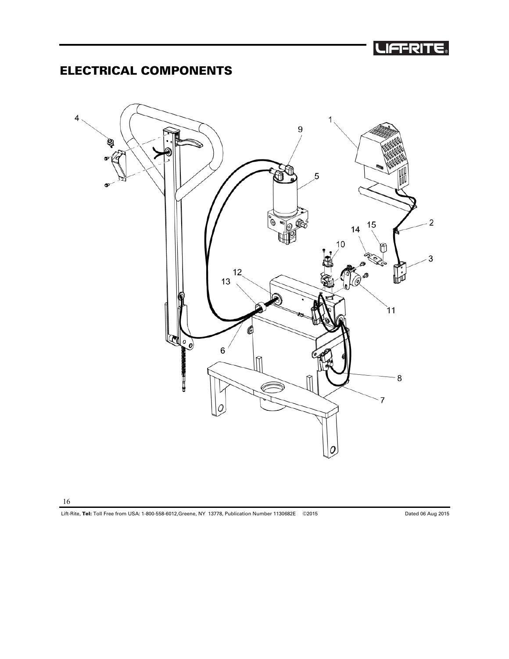

## **ELECTRICAL COMPONENTS**

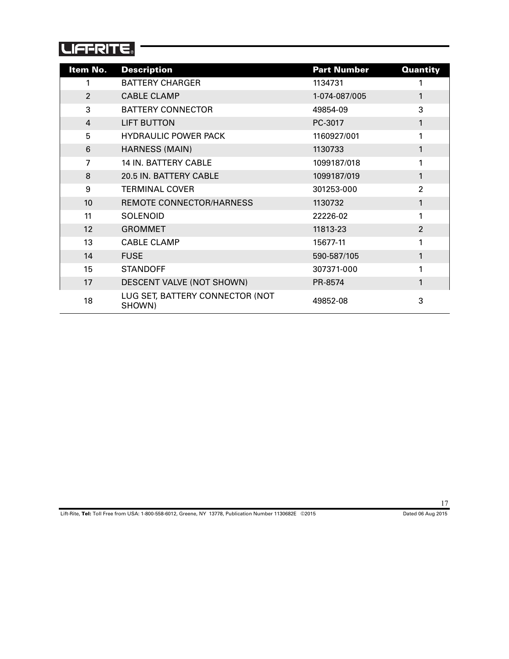| Item No.       | <b>Description</b>                        | <b>Part Number</b> | <b>Quantity</b> |
|----------------|-------------------------------------------|--------------------|-----------------|
|                | <b>BATTERY CHARGER</b>                    | 1134731            |                 |
| $\overline{2}$ | <b>CABLE CLAMP</b>                        | 1-074-087/005      | 1               |
| 3              | <b>BATTERY CONNECTOR</b>                  | 49854-09           | 3               |
| 4              | <b>LIFT BUTTON</b>                        | PC-3017            | 1               |
| 5              | <b>HYDRAULIC POWER PACK</b>               | 1160927/001        | 1               |
| 6              | <b>HARNESS (MAIN)</b>                     | 1130733            | 1               |
| $\overline{7}$ | <b>14 IN. BATTERY CABLE</b>               | 1099187/018        | 1               |
| 8              | 20.5 IN. BATTERY CABLE                    | 1099187/019        | 1               |
| 9              | <b>TERMINAL COVER</b>                     | 301253-000         | $\overline{2}$  |
| 10             | <b>REMOTE CONNECTOR/HARNESS</b>           | 1130732            | 1               |
| 11             | <b>SOLENOID</b>                           | 22226-02           | 1               |
| 12             | <b>GROMMET</b>                            | 11813-23           | $\mathfrak{p}$  |
| 13             | <b>CABLE CLAMP</b>                        | 15677-11           | 1               |
| 14             | <b>FUSE</b>                               | 590-587/105        | 1               |
| 15             | <b>STANDOFF</b>                           | 307371-000         |                 |
| 17             | DESCENT VALVE (NOT SHOWN)                 | PR-8574            | 1               |
| 18             | LUG SET, BATTERY CONNECTOR (NOT<br>SHOWN) | 49852-08           | 3               |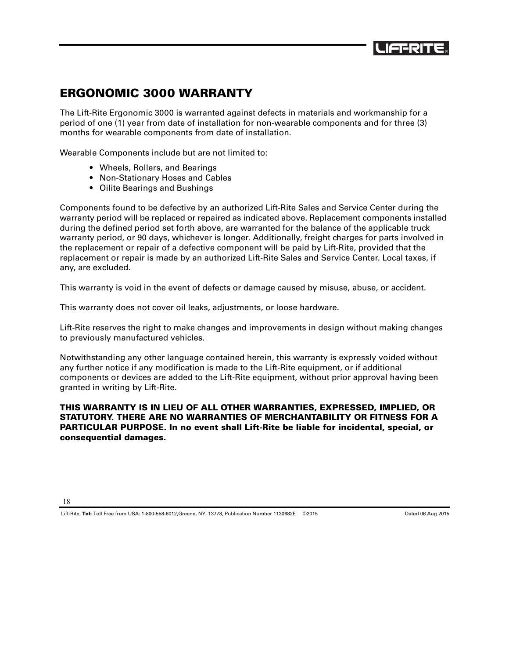## **ERGONOMIC 3000 WARRANTY**

The Lift-Rite Ergonomic 3000 is warranted against defects in materials and workmanship for a period of one (1) year from date of installation for non-wearable components and for three (3) months for wearable components from date of installation.

Wearable Components include but are not limited to:

- Wheels, Rollers, and Bearings
- Non-Stationary Hoses and Cables
- Oilite Bearings and Bushings

Components found to be defective by an authorized Lift-Rite Sales and Service Center during the warranty period will be replaced or repaired as indicated above. Replacement components installed during the defined period set forth above, are warranted for the balance of the applicable truck warranty period, or 90 days, whichever is longer. Additionally, freight charges for parts involved in the replacement or repair of a defective component will be paid by Lift-Rite, provided that the replacement or repair is made by an authorized Lift-Rite Sales and Service Center. Local taxes, if any, are excluded.

This warranty is void in the event of defects or damage caused by misuse, abuse, or accident.

This warranty does not cover oil leaks, adjustments, or loose hardware.

Lift-Rite reserves the right to make changes and improvements in design without making changes to previously manufactured vehicles.

Notwithstanding any other language contained herein, this warranty is expressly voided without any further notice if any modification is made to the Lift-Rite equipment, or if additional components or devices are added to the Lift-Rite equipment, without prior approval having been granted in writing by Lift-Rite.

**THIS WARRANTY IS IN LIEU OF ALL OTHER WARRANTIES, EXPRESSED, IMPLIED, OR STATUTORY. THERE ARE NO WARRANTIES OF MERCHANTABILITY OR FITNESS FOR A PARTICULAR PURPOSE. In no event shall Lift-Rite be liable for incidental, special, or consequential damages.**